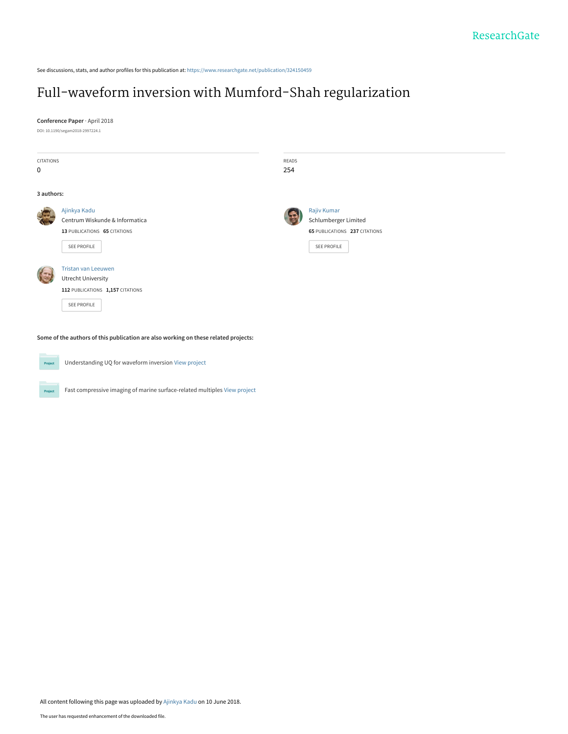See discussions, stats, and author profiles for this publication at: [https://www.researchgate.net/publication/324150459](https://www.researchgate.net/publication/324150459_Full-waveform_inversion_with_Mumford-Shah_regularization?enrichId=rgreq-ad3fa2c9f312bc70ad6cbf6081d865fc-XXX&enrichSource=Y292ZXJQYWdlOzMyNDE1MDQ1OTtBUzo2MzU5MzYyMjQzMzc5MjBAMTUyODYzMDQxOTkyOQ%3D%3D&el=1_x_2&_esc=publicationCoverPdf)

# [Full-waveform inversion with Mumford-Shah regularization](https://www.researchgate.net/publication/324150459_Full-waveform_inversion_with_Mumford-Shah_regularization?enrichId=rgreq-ad3fa2c9f312bc70ad6cbf6081d865fc-XXX&enrichSource=Y292ZXJQYWdlOzMyNDE1MDQ1OTtBUzo2MzU5MzYyMjQzMzc5MjBAMTUyODYzMDQxOTkyOQ%3D%3D&el=1_x_3&_esc=publicationCoverPdf)

**Conference Paper** · April 2018 DOI: 10.1190/segam2018-2997224.1

CITATIONS 0 READS 254 **3 authors:** [Ajinkya Kadu](https://www.researchgate.net/profile/Ajinkya-Kadu?enrichId=rgreq-ad3fa2c9f312bc70ad6cbf6081d865fc-XXX&enrichSource=Y292ZXJQYWdlOzMyNDE1MDQ1OTtBUzo2MzU5MzYyMjQzMzc5MjBAMTUyODYzMDQxOTkyOQ%3D%3D&el=1_x_5&_esc=publicationCoverPdf) [Centrum Wiskunde & Informatica](https://www.researchgate.net/institution/Centrum-Wiskunde-Informatica?enrichId=rgreq-ad3fa2c9f312bc70ad6cbf6081d865fc-XXX&enrichSource=Y292ZXJQYWdlOzMyNDE1MDQ1OTtBUzo2MzU5MzYyMjQzMzc5MjBAMTUyODYzMDQxOTkyOQ%3D%3D&el=1_x_6&_esc=publicationCoverPdf) **13** PUBLICATIONS **65** CITATIONS [SEE PROFILE](https://www.researchgate.net/profile/Ajinkya-Kadu?enrichId=rgreq-ad3fa2c9f312bc70ad6cbf6081d865fc-XXX&enrichSource=Y292ZXJQYWdlOzMyNDE1MDQ1OTtBUzo2MzU5MzYyMjQzMzc5MjBAMTUyODYzMDQxOTkyOQ%3D%3D&el=1_x_7&_esc=publicationCoverPdf) [Rajiv Kumar](https://www.researchgate.net/profile/Rajiv-Kumar-20?enrichId=rgreq-ad3fa2c9f312bc70ad6cbf6081d865fc-XXX&enrichSource=Y292ZXJQYWdlOzMyNDE1MDQ1OTtBUzo2MzU5MzYyMjQzMzc5MjBAMTUyODYzMDQxOTkyOQ%3D%3D&el=1_x_5&_esc=publicationCoverPdf) [Schlumberger Limited](https://www.researchgate.net/institution/Schlumberger-Limited?enrichId=rgreq-ad3fa2c9f312bc70ad6cbf6081d865fc-XXX&enrichSource=Y292ZXJQYWdlOzMyNDE1MDQ1OTtBUzo2MzU5MzYyMjQzMzc5MjBAMTUyODYzMDQxOTkyOQ%3D%3D&el=1_x_6&_esc=publicationCoverPdf) **65** PUBLICATIONS **237** CITATIONS [SEE PROFILE](https://www.researchgate.net/profile/Rajiv-Kumar-20?enrichId=rgreq-ad3fa2c9f312bc70ad6cbf6081d865fc-XXX&enrichSource=Y292ZXJQYWdlOzMyNDE1MDQ1OTtBUzo2MzU5MzYyMjQzMzc5MjBAMTUyODYzMDQxOTkyOQ%3D%3D&el=1_x_7&_esc=publicationCoverPdf) [Tristan van Leeuwen](https://www.researchgate.net/profile/Tristan-Van-Leeuwen?enrichId=rgreq-ad3fa2c9f312bc70ad6cbf6081d865fc-XXX&enrichSource=Y292ZXJQYWdlOzMyNDE1MDQ1OTtBUzo2MzU5MzYyMjQzMzc5MjBAMTUyODYzMDQxOTkyOQ%3D%3D&el=1_x_5&_esc=publicationCoverPdf) [Utrecht University](https://www.researchgate.net/institution/Utrecht-University?enrichId=rgreq-ad3fa2c9f312bc70ad6cbf6081d865fc-XXX&enrichSource=Y292ZXJQYWdlOzMyNDE1MDQ1OTtBUzo2MzU5MzYyMjQzMzc5MjBAMTUyODYzMDQxOTkyOQ%3D%3D&el=1_x_6&_esc=publicationCoverPdf) **112** PUBLICATIONS **1,157** CITATIONS [SEE PROFILE](https://www.researchgate.net/profile/Tristan-Van-Leeuwen?enrichId=rgreq-ad3fa2c9f312bc70ad6cbf6081d865fc-XXX&enrichSource=Y292ZXJQYWdlOzMyNDE1MDQ1OTtBUzo2MzU5MzYyMjQzMzc5MjBAMTUyODYzMDQxOTkyOQ%3D%3D&el=1_x_7&_esc=publicationCoverPdf)

**Some of the authors of this publication are also working on these related projects:**

Understanding UQ for waveform inversion [View project](https://www.researchgate.net/project/Understanding-UQ-for-waveform-inversion?enrichId=rgreq-ad3fa2c9f312bc70ad6cbf6081d865fc-XXX&enrichSource=Y292ZXJQYWdlOzMyNDE1MDQ1OTtBUzo2MzU5MzYyMjQzMzc5MjBAMTUyODYzMDQxOTkyOQ%3D%3D&el=1_x_9&_esc=publicationCoverPdf) Project

Project

Fast compressive imaging of marine surface-related multiples [View project](https://www.researchgate.net/project/Fast-compressive-imaging-of-marine-surface-related-multiples?enrichId=rgreq-ad3fa2c9f312bc70ad6cbf6081d865fc-XXX&enrichSource=Y292ZXJQYWdlOzMyNDE1MDQ1OTtBUzo2MzU5MzYyMjQzMzc5MjBAMTUyODYzMDQxOTkyOQ%3D%3D&el=1_x_9&_esc=publicationCoverPdf)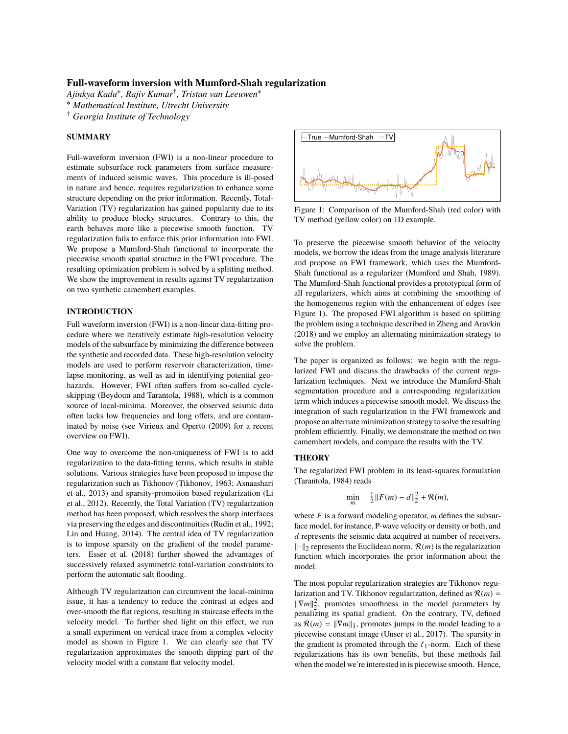*Ajinkya Kadu*<sup>∗</sup> *, Rajiv Kumar*† *, Tristan van Leeuwen*<sup>∗</sup>

<sup>∗</sup> *Mathematical Institute, Utrecht University*

† *Georgia Institute of Technology*

## **SUMMARY**

Full-waveform inversion (FWI) is a non-linear procedure to estimate subsurface rock parameters from surface measurements of induced seismic waves. This procedure is ill-posed in nature and hence, requires regularization to enhance some structure depending on the prior information. Recently, Total-Variation (TV) regularization has gained popularity due to its ability to produce blocky structures. Contrary to this, the earth behaves more like a piecewise smooth function. TV regularization fails to enforce this prior information into FWI. We propose a Mumford-Shah functional to incorporate the piecewise smooth spatial structure in the FWI procedure. The resulting optimization problem is solved by a splitting method. We show the improvement in results against TV regularization on two synthetic camembert examples.

# **INTRODUCTION**

Full waveform inversion (FWI) is a non-linear data-fitting procedure where we iteratively estimate high-resolution velocity models of the subsurface by minimizing the difference between the synthetic and recorded data. These high-resolution velocity models are used to perform reservoir characterization, timelapse monitoring, as well as aid in identifying potential geohazards. However, FWI often suffers from so-called cycleskipping (Beydoun and Tarantola, 1988), which is a common source of local-minima. Moreover, the observed seismic data often lacks low frequencies and long offets, and are contaminated by noise (see Virieux and Operto (2009) for a recent overview on FWI).

One way to overcome the non-uniqueness of FWI is to add regularization to the data-fitting terms, which results in stable solutions. Various strategies have been proposed to impose the regularization such as Tikhonov (Tikhonov, 1963; Asnaashari et al., 2013) and sparsity-promotion based regularization (Li et al., 2012). Recently, the Total Variation (TV) regularization method has been proposed, which resolves the sharp interfaces via preserving the edges and discontinuities (Rudin et al., 1992; Lin and Huang, 2014). The central idea of TV regularization is to impose sparsity on the gradient of the model parameters. Esser et al. (2018) further showed the advantages of successively relaxed asymmetric total-variation constraints to perform the automatic salt flooding.

Although TV regularization can circumvent the local-minima issue, it has a tendency to reduce the contrast at edges and over-smooth the flat regions, resulting in staircase effects in the velocity model. To further shed light on this effect, we run a small experiment on vertical trace from a complex velocity model as shown in Figure 1. We can clearly see that TV regularization approximates the smooth dipping part of the velocity model with a constant flat velocity model.



Figure 1: Comparison of the Mumford-Shah (red color) with TV method (yellow color) on 1D example.

To preserve the piecewise smooth behavior of the velocity models, we borrow the ideas from the image analysis literature and propose an FWI framework, which uses the Mumford-Shah functional as a regularizer (Mumford and Shah, 1989). The Mumford-Shah functional provides a prototypical form of all regularizers, which aims at combining the smoothing of the homogeneous region with the enhancement of edges (see Figure 1). The proposed FWI algorithm is based on splitting the problem using a technique described in Zheng and Aravkin (2018) and we employ an alternating minimization strategy to solve the problem.

The paper is organized as follows: we begin with the regularized FWI and discuss the drawbacks of the current regularization techniques. Next we introduce the Mumford-Shah segmentation procedure and a corresponding regularization term which induces a piecewise smooth model. We discuss the integration of such regularization in the FWI framework and propose an alternate minimization strategy to solve the resulting problem efficiently. Finally, we demonstrate the method on two camembert models, and compare the results with the TV.

# **THEORY**

The regularized FWI problem in its least-squares formulation (Tarantola, 1984) reads

$$
\min_{m} \quad \frac{1}{2} \| F(m) - d \|_{2}^{2} + \mathcal{R}(m),
$$

where  $F$  is a forward modeling operator,  $m$  defines the subsurface model, for instance, P-wave velocity or density or both, and *d* represents the seismic data acquired at number of receivers.  $\|\cdot\|_2$  represents the Euclidean norm.  $\mathcal{R}(m)$  is the regularization function which incorporates the prior information about the model.

The most popular regularization strategies are Tikhonov regularization and TV. Tikhonov regularization, defined as  $\mathcal{R}(m)$  =  $\|\nabla m\|_2^2$ , promotes smoothness in the model parameters by penalizing its spatial gradient. On the contrary, TV, defined as  $\mathcal{R}(m) = ||\nabla m||_1$ , promotes jumps in the model leading to a piecewise constant image (Unser et al., 2017). The sparsity in the gradient is promoted through the  $\ell_1$ -norm. Each of these regularizations has its own benefits, but these methods fail when the model we're interested in is piecewise smooth. Hence,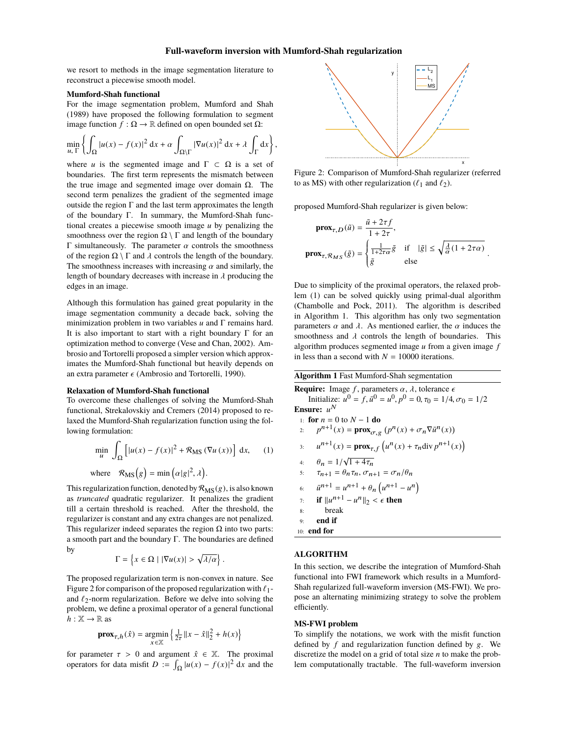we resort to methods in the image segmentation literature to reconstruct a piecewise smooth model.

#### **Mumford-Shah functional**

For the image segmentation problem, Mumford and Shah (1989) have proposed the following formulation to segment image function *f* : Ω → R defined on open bounded set Ω:

$$
\min_{u, \Gamma} \left\{ \int_{\Omega} |u(x) - f(x)|^2 dx + \alpha \int_{\Omega \setminus \Gamma} |\nabla u(x)|^2 dx + \lambda \int_{\Gamma} dx \right\},\
$$

where *u* is the segmented image and  $\Gamma \subset \Omega$  is a set of boundaries. The first term represents the mismatch between the true image and segmented image over domain  $Ω$ . The second term penalizes the gradient of the segmented image outside the region Γ and the last term approximates the length of the boundary Γ. In summary, the Mumford-Shah functional creates a piecewise smooth image *u* by penalizing the smoothness over the region  $\Omega \setminus \Gamma$  and length of the boundary Γ simultaneously. The parameter  $\alpha$  controls the smoothness of the region  $\Omega \setminus \Gamma$  and  $\lambda$  controls the length of the boundary. The smoothness increases with increasing  $\alpha$  and similarly, the length of boundary decreases with increase in  $\lambda$  producing the edges in an image.

Although this formulation has gained great popularity in the image segmentation community a decade back, solving the minimization problem in two variables *u* and Γ remains hard. It is also important to start with a right boundary  $\Gamma$  for an optimization method to converge (Vese and Chan, 2002). Ambrosio and Tortorelli proposed a simpler version which approximates the Mumford-Shah functional but heavily depends on an extra parameter  $\epsilon$  (Ambrosio and Tortorelli, 1990).

#### **Relaxation of Mumford-Shah functional**

To overcome these challenges of solving the Mumford-Shah functional, Strekalovskiy and Cremers (2014) proposed to relaxed the Mumford-Shah regularization function using the following formulation:

$$
\min_{u} \int_{\Omega} \left[ |u(x) - f(x)|^2 + \mathcal{R}_{\text{MS}} \left( \nabla u \left( x \right) \right) \right] \, \mathrm{d}x, \qquad (1)
$$
\n
$$
\text{where} \quad \mathcal{R}_{\text{MS}}(g) = \min \left( \alpha |g|^2, \lambda \right).
$$

This regularization function, denoted by  $\mathcal{R}_{\text{MS}}(g)$ , is also known as *truncated* quadratic regularizer. It penalizes the gradient till a certain threshold is reached. After the threshold, the regularizer is constant and any extra changes are not penalized. This regularizer indeed separates the region  $\Omega$  into two parts: a smooth part and the boundary Γ. The boundaries are defined by

$$
\Gamma = \left\{ x \in \Omega \mid |\nabla u(x)| > \sqrt{\lambda/\alpha} \right\}.
$$

The proposed regularization term is non-convex in nature. See Figure 2 for comparison of the proposed regularization with  $\ell_1$ and  $\ell_2$ -norm regularization. Before we delve into solving the problem, we define a proximal operator of a general functional  $h: \mathbb{X} \to \mathbb{R}$  as )

$$
\mathbf{prox}_{\tau,h}(\hat{x}) = \underset{x \in \mathbb{X}}{\operatorname{argmin}} \left\{ \frac{1}{2\tau} ||x - \hat{x}||_2^2 + h(x) \right\}
$$

for parameter  $\tau > 0$  and argument  $\hat{x} \in \mathbb{X}$ . The proximal operators for data misfit  $D := \int_{\Omega} |u(x) - f(x)|^2 dx$  and the



Figure 2: Comparison of Mumford-Shah regularizer (referred to as MS) with other regularization ( $\ell_1$  and  $\ell_2$ ).

proposed Mumford-Shah regularizer is given below:

$$
\mathbf{prox}_{\tau,D}(\tilde{u}) = \frac{\tilde{u} + 2\tau f}{1 + 2\tau},
$$
\n
$$
\mathbf{prox}_{\tau,\mathcal{R}_{MS}}(\tilde{g}) = \begin{cases} \frac{1}{1 + 2\tau\alpha} \tilde{g} & \text{if } |\tilde{g}| \le \sqrt{\frac{\lambda}{\alpha}(1 + 2\tau\alpha)}\\ \tilde{g} & \text{else} \end{cases}
$$

Due to simplicity of the proximal operators, the relaxed problem (1) can be solved quickly using primal-dual algorithm (Chambolle and Pock, 2011). The algorithm is described in Algorithm 1. This algorithm has only two segmentation parameters  $\alpha$  and  $\lambda$ . As mentioned earlier, the  $\alpha$  induces the smoothness and  $\lambda$  controls the length of boundaries. This algorithm produces segmented image *u* from a given image *f* in less than a second with  $N = 10000$  iterations.

| <b>Algorithm 1 Fast Mumford-Shah segmentation</b>                                                                                                                            |  |  |  |
|------------------------------------------------------------------------------------------------------------------------------------------------------------------------------|--|--|--|
| <b>Require:</b> Image f, parameters $\alpha$ , $\lambda$ , tolerance $\epsilon$<br>Initialize: $u^0 = f$ , $\bar{u}^0 = u^0$ , $p^0 = 0$ , $\tau_0 = 1/4$ , $\sigma_0 = 1/2$ |  |  |  |
| Ensure: $u^N$                                                                                                                                                                |  |  |  |
| 1: for $n = 0$ to $N - 1$ do                                                                                                                                                 |  |  |  |
| $p^{n+1}(x) = \mathbf{prox}_{\sigma, g} (p^n(x) + \sigma_n \nabla \bar{u}^n(x))$<br>2:                                                                                       |  |  |  |
| 3: $u^{n+1}(x) = \mathbf{prox}_{\tau, f} (u^n(x) + \tau_n \operatorname{div} p^{n+1}(x))$                                                                                    |  |  |  |
| 4: $\theta_n = 1/\sqrt{1+4\tau_n}$                                                                                                                                           |  |  |  |
| $\tau_{n+1} = \theta_n \tau_n$ , $\sigma_{n+1} = \sigma_n / \theta_n$<br>5:                                                                                                  |  |  |  |
| $\bar{u}^{n+1} = u^{n+1} + \theta_n (u^{n+1} - u^n)$<br>6:                                                                                                                   |  |  |  |
| if $  u^{n+1} - u^n  _2 < \epsilon$ then<br>7:                                                                                                                               |  |  |  |
| break<br>8:                                                                                                                                                                  |  |  |  |
| end if<br>9:                                                                                                                                                                 |  |  |  |
| $10:$ end for                                                                                                                                                                |  |  |  |

#### **ALGORITHM**

In this section, we describe the integration of Mumford-Shah functional into FWI framework which results in a Mumford-Shah regularized full-waveform inversion (MS-FWI). We propose an alternating minimizing strategy to solve the problem efficiently.

#### **MS-FWI problem**

To simplify the notations, we work with the misfit function defined by *f* and regularization function defined by g. We discretize the model on a grid of total size *n* to make the problem computationally tractable. The full-waveform inversion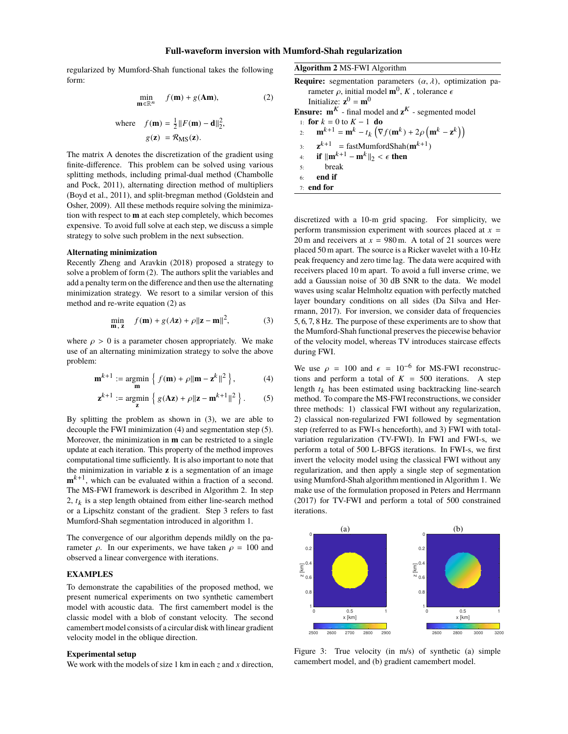regularized by Mumford-Shah functional takes the following form:

$$
\min_{\mathbf{m}\in\mathbb{R}^n} f(\mathbf{m}) + g(\mathbf{A}\mathbf{m}),\tag{2}
$$

where 
$$
f(\mathbf{m}) = \frac{1}{2} ||F(\mathbf{m}) - \mathbf{d}||_2^2
$$
,  
\n $g(\mathbf{z}) = \mathcal{R}_{\text{MS}}(\mathbf{z}).$ 

The matrix A denotes the discretization of the gradient using finite-difference. This problem can be solved using various splitting methods, including primal-dual method (Chambolle and Pock, 2011), alternating direction method of multipliers (Boyd et al., 2011), and split-bregman method (Goldstein and Osher, 2009). All these methods require solving the minimization with respect to **m** at each step completely, which becomes expensive. To avoid full solve at each step, we discuss a simple strategy to solve such problem in the next subsection.

#### **Alternating minimization**

Recently Zheng and Aravkin (2018) proposed a strategy to solve a problem of form (2). The authors split the variables and add a penalty term on the difference and then use the alternating minimization strategy. We resort to a similar version of this method and re-write equation (2) as

$$
\min_{\mathbf{m}, \mathbf{z}} f(\mathbf{m}) + g(A\mathbf{z}) + \rho \|\mathbf{z} - \mathbf{m}\|^2, \tag{3}
$$

where  $\rho > 0$  is a parameter chosen appropriately. We make use of an alternating minimization strategy to solve the above problem:

$$
\mathbf{m}^{k+1} := \underset{\mathbf{m}}{\text{argmin}} \left\{ f(\mathbf{m}) + \rho \|\mathbf{m} - \mathbf{z}^k\|^2 \right\},\tag{4}
$$

$$
\mathbf{z}^{k+1} := \underset{\mathbf{z}}{\operatorname{argmin}} \left\{ g(\mathbf{A}\mathbf{z}) + \rho \|\mathbf{z} - \mathbf{m}^{k+1}\|^2 \right\}.
$$
 (5)

By splitting the problem as shown in (3), we are able to decouple the FWI minimization (4) and segmentation step (5). Moreover, the minimization in **m** can be restricted to a single update at each iteration. This property of the method improves computational time sufficiently. It is also important to note that the minimization in variable **z** is a segmentation of an image  $\mathbf{m}^{k+1}$ , which can be evaluated within a fraction of a second. The MS-FWI framework is described in Algorithm 2. In step  $2, t_k$  is a step length obtained from either line-search method or a Lipschitz constant of the gradient. Step 3 refers to fast Mumford-Shah segmentation introduced in algorithm 1.

The convergence of our algorithm depends mildly on the parameter *ρ*. In our experiments, we have taken  $ρ = 100$  and observed a linear convergence with iterations.

## **EXAMPLES**

To demonstrate the capabilities of the proposed method, we present numerical experiments on two synthetic camembert model with acoustic data. The first camembert model is the classic model with a blob of constant velocity. The second camembert model consists of a circular disk with linear gradient velocity model in the oblique direction.

#### **Experimental setup**

We work with the models of size 1 km in each *z* and *x* direction,

| <b>Algorithm 2 MS-FWI Algorithm</b>                                                                                                                                                  |  |  |
|--------------------------------------------------------------------------------------------------------------------------------------------------------------------------------------|--|--|
| <b>Require:</b> segmentation parameters $(\alpha, \lambda)$ , optimization pa-<br>rameter $\rho$ , initial model $\mathbf{m}^0$ , K, tolerance $\epsilon$<br>Initialize: $z^0 = m^0$ |  |  |
| <b>Ensure:</b> $m^K$ - final model and $z^K$ - segmented model                                                                                                                       |  |  |
| 1. for $k = 0$ to $K - 1$ do<br>$\mathbf{m}^{k+1} = \mathbf{m}^k - t_k \left( \nabla f(\mathbf{m}^k) + 2\rho \left( \mathbf{m}^k - \mathbf{z}^k \right) \right)$<br>2:               |  |  |
| $\mathbf{z}^{k+1}$ = fastMumfordShah( $\mathbf{m}^{k+1}$ )<br>3:                                                                                                                     |  |  |
| if $\ \mathbf{m}^{k+1} - \mathbf{m}^k\ _2 < \epsilon$ then<br>4:                                                                                                                     |  |  |
| break<br>5:                                                                                                                                                                          |  |  |
| end if<br>6:                                                                                                                                                                         |  |  |
| $7:$ end for                                                                                                                                                                         |  |  |

discretized with a 10-m grid spacing. For simplicity, we perform transmission experiment with sources placed at  $x =$ 20 m and receivers at  $x = 980$  m. A total of 21 sources were placed 50 m apart. The source is a Ricker wavelet with a 10-Hz peak frequency and zero time lag. The data were acquired with receivers placed 10 m apart. To avoid a full inverse crime, we add a Gaussian noise of 30 dB SNR to the data. We model waves using scalar Helmholtz equation with perfectly matched layer boundary conditions on all sides (Da Silva and Herrmann, 2017). For inversion, we consider data of frequencies <sup>5</sup>, <sup>6</sup>, <sup>7</sup>, <sup>8</sup> Hz. The purpose of these experiments are to show that the Mumford-Shah functional preserves the piecewise behavior of the velocity model, whereas TV introduces staircase effects during FWI.

We use  $\rho = 100$  and  $\epsilon = 10^{-6}$  for MS-FWI reconstructions and perform a total of  $K = 500$  iterations. A step tions and perform a total of  $K = 500$  iterations. A step length  $t_k$  has been estimated using backtracking line-search method. To compare the MS-FWI reconstructions, we consider three methods: 1) classical FWI without any regularization, 2) classical non-regularized FWI followed by segmentation step (referred to as FWI-s henceforth), and 3) FWI with totalvariation regularization (TV-FWI). In FWI and FWI-s, we perform a total of 500 L-BFGS iterations. In FWI-s, we first invert the velocity model using the classical FWI without any regularization, and then apply a single step of segmentation using Mumford-Shah algorithm mentioned in Algorithm 1. We make use of the formulation proposed in Peters and Herrmann (2017) for TV-FWI and perform a total of 500 constrained iterations.



Figure 3: True velocity (in m/s) of synthetic (a) simple camembert model, and (b) gradient camembert model.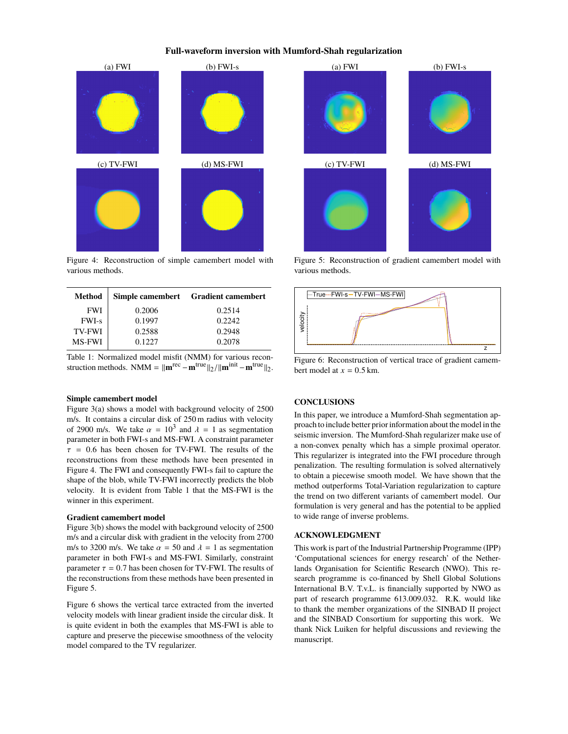

Figure 4: Reconstruction of simple camembert model with various methods.

| Method        |        | Simple camembert Gradient camembert |
|---------------|--------|-------------------------------------|
| <b>FWI</b>    | 0.2006 | 0.2514                              |
| <b>FWI-s</b>  | 0.1997 | 0.2242                              |
| <b>TV-FWI</b> | 0.2588 | 0.2948                              |
| <b>MS-FWI</b> | 0.1227 | 0.2078                              |

Table 1: Normalized model misfit (NMM) for various reconstruction methods. NMM =  $\|\mathbf{m}^{\text{rec}} - \mathbf{m}^{\text{true}}\|_2 / \|\mathbf{m}^{\text{init}} - \mathbf{m}^{\text{true}}\|_2.$ 

# **Simple camembert model**

Figure 3(a) shows a model with background velocity of 2500 m/s. It contains a circular disk of 250 m radius with velocity of 2900 m/s. We take  $\alpha = 10^3$  and  $\lambda = 1$  as segmentation<br>parameter in both EWLs and MS-EWL A constraint parameter parameter in both FWI-s and MS-FWI. A constraint parameter  $\tau$  = 0.6 has been chosen for TV-FWI. The results of the reconstructions from these methods have been presented in Figure 4. The FWI and consequently FWI-s fail to capture the shape of the blob, while TV-FWI incorrectly predicts the blob velocity. It is evident from Table 1 that the MS-FWI is the winner in this experiment.

#### **Gradient camembert model**

Figure 3(b) shows the model with background velocity of 2500 m/s and a circular disk with gradient in the velocity from 2700 m/s to 3200 m/s. We take  $\alpha = 50$  and  $\lambda = 1$  as segmentation parameter in both FWI-s and MS-FWI. Similarly, constraint parameter  $\tau = 0.7$  has been chosen for TV-FWI. The results of the reconstructions from these methods have been presented in Figure 5.

Figure 6 shows the vertical tarce extracted from the inverted velocity models with linear gradient inside the circular disk. It is quite evident in both the examples that MS-FWI is able to capture and preserve the piecewise smoothness of the velocity model compared to the TV regularizer.



Figure 5: Reconstruction of gradient camembert model with various methods.



Figure 6: Reconstruction of vertical trace of gradient camembert model at  $x = 0.5$  km.

## **CONCLUSIONS**

In this paper, we introduce a Mumford-Shah segmentation approach to include better prior information about the model in the seismic inversion. The Mumford-Shah regularizer make use of a non-convex penalty which has a simple proximal operator. This regularizer is integrated into the FWI procedure through penalization. The resulting formulation is solved alternatively to obtain a piecewise smooth model. We have shown that the method outperforms Total-Variation regularization to capture the trend on two different variants of camembert model. Our formulation is very general and has the potential to be applied to wide range of inverse problems.

## **ACKNOWLEDGMENT**

This work is part of the Industrial Partnership Programme (IPP) 'Computational sciences for energy research' of the Netherlands Organisation for Scientific Research (NWO). This research programme is co-financed by Shell Global Solutions International B.V. T.v.L. is financially supported by NWO as part of research programme 613.009.032. R.K. would like to thank the member organizations of the SINBAD II project and the SINBAD Consortium for supporting this work. We thank Nick Luiken for helpful discussions and reviewing the manuscript.